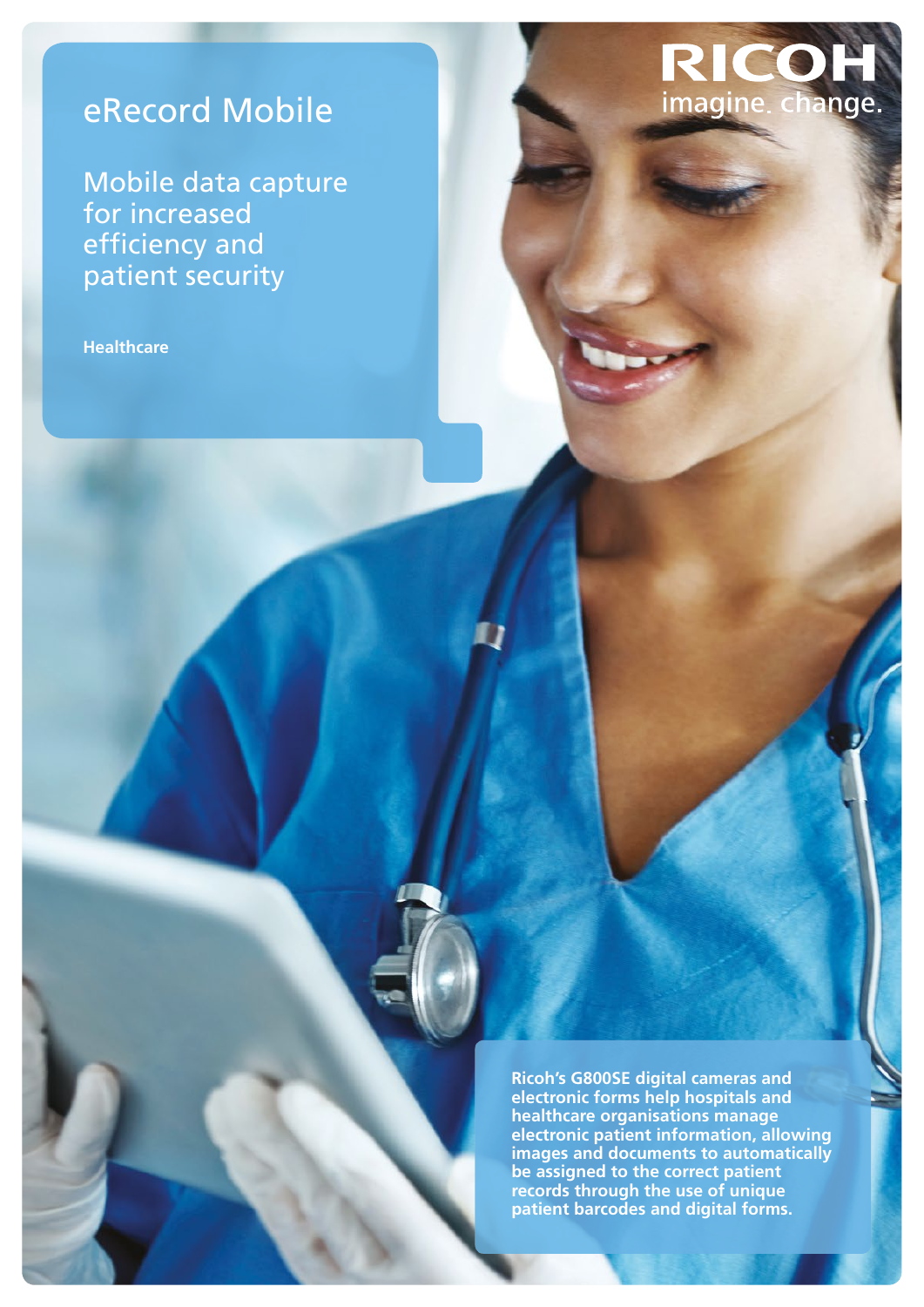# eRecord Mobile

Mobile data capture for increased efficiency and patient security

**Healthcare**

**Ricoh's G800SE digital cameras and electronic forms help hospitals and healthcare organisations manage electronic patient information, allowing images and documents to automatically be assigned to the correct patient records through the use of unique patient barcodes and digital forms.** 

RICOH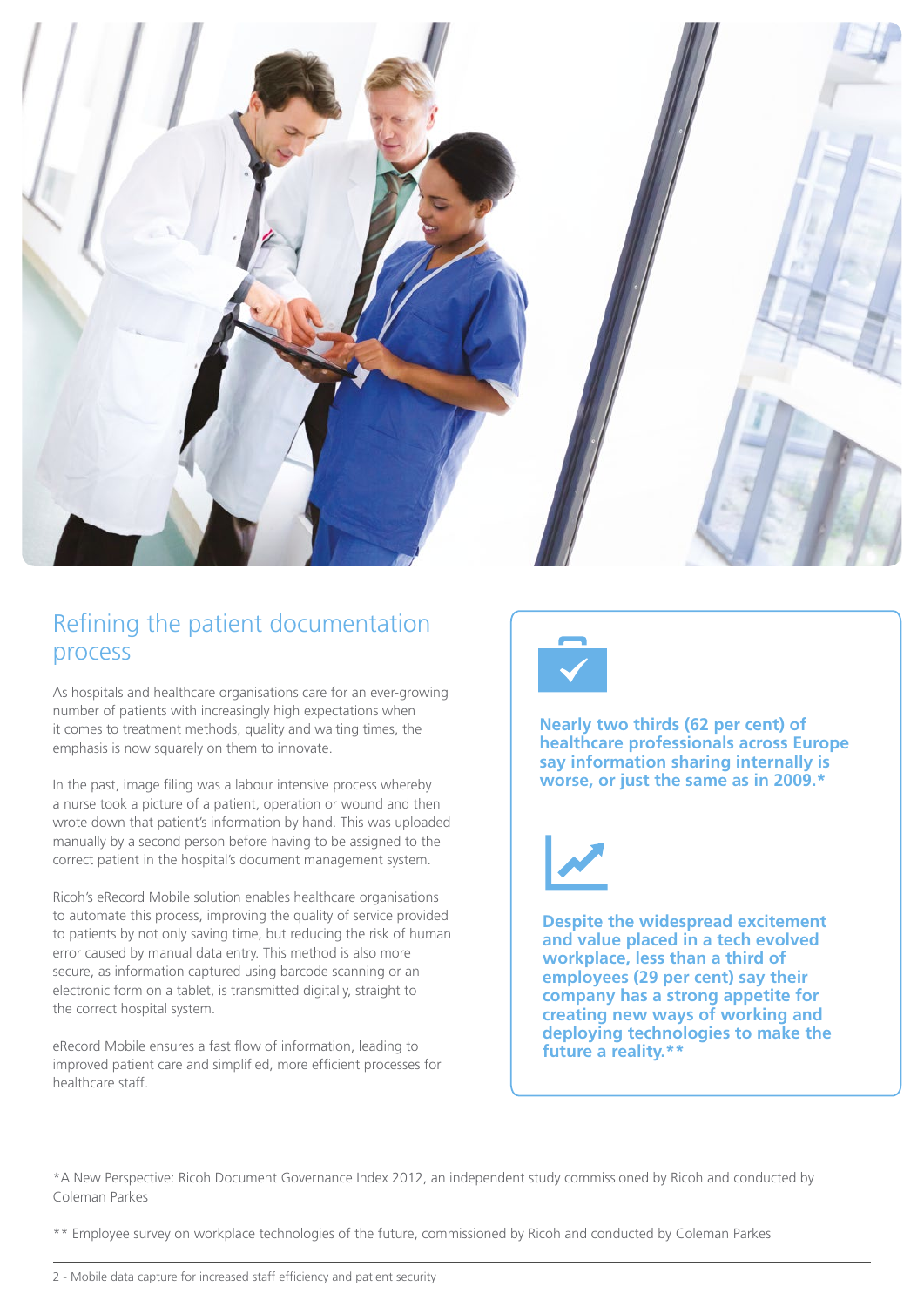

### Refining the patient documentation process

As hospitals and healthcare organisations care for an ever-growing number of patients with increasingly high expectations when it comes to treatment methods, quality and waiting times, the emphasis is now squarely on them to innovate.

In the past, image filing was a labour intensive process whereby a nurse took a picture of a patient, operation or wound and then wrote down that patient's information by hand. This was uploaded manually by a second person before having to be assigned to the correct patient in the hospital's document management system.

Ricoh's eRecord Mobile solution enables healthcare organisations to automate this process, improving the quality of service provided to patients by not only saving time, but reducing the risk of human error caused by manual data entry. This method is also more secure, as information captured using barcode scanning or an electronic form on a tablet, is transmitted digitally, straight to the correct hospital system.

eRecord Mobile ensures a fast flow of information, leading to improved patient care and simplified, more efficient processes for healthcare staff.



**Nearly two thirds (62 per cent) of healthcare professionals across Europe say information sharing internally is worse, or just the same as in 2009.\***

**Despite the widespread excitement and value placed in a tech evolved workplace, less than a third of employees (29 per cent) say their company has a strong appetite for creating new ways of working and deploying technologies to make the future a reality.\*\***

\*A New Perspective: Ricoh Document Governance Index 2012, an independent study commissioned by Ricoh and conducted by Coleman Parkes

\*\* Employee survey on workplace technologies of the future, commissioned by Ricoh and conducted by Coleman Parkes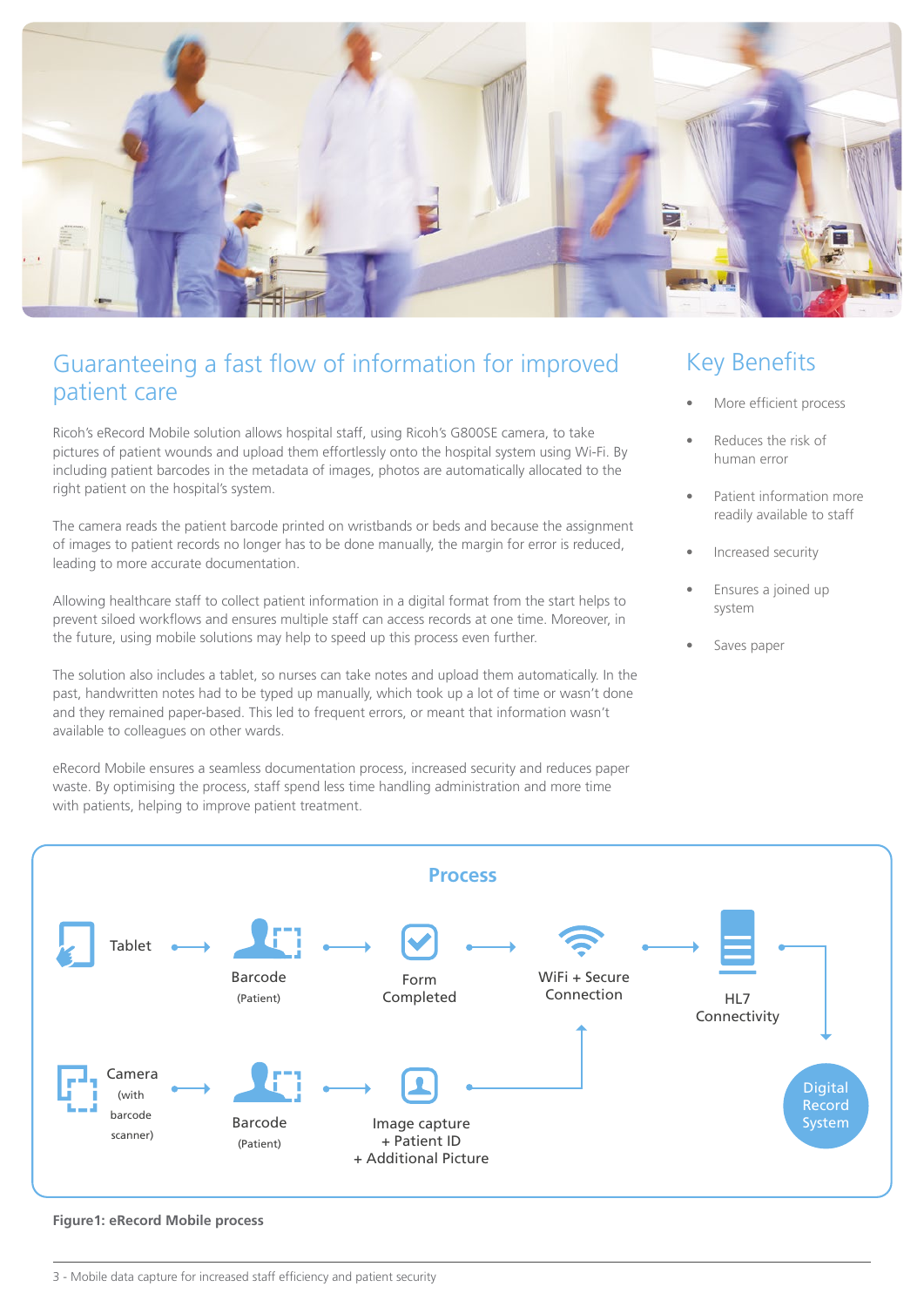

#### Guaranteeing a fast flow of information for improved patient care

Ricoh's eRecord Mobile solution allows hospital staff, using Ricoh's G800SE camera, to take pictures of patient wounds and upload them effortlessly onto the hospital system using Wi-Fi. By including patient barcodes in the metadata of images, photos are automatically allocated to the right patient on the hospital's system.

The camera reads the patient barcode printed on wristbands or beds and because the assignment of images to patient records no longer has to be done manually, the margin for error is reduced, leading to more accurate documentation.

Allowing healthcare staff to collect patient information in a digital format from the start helps to prevent siloed workflows and ensures multiple staff can access records at one time. Moreover, in the future, using mobile solutions may help to speed up this process even further.

The solution also includes a tablet, so nurses can take notes and upload them automatically. In the past, handwritten notes had to be typed up manually, which took up a lot of time or wasn't done and they remained paper-based. This led to frequent errors, or meant that information wasn't available to colleagues on other wards.

eRecord Mobile ensures a seamless documentation process, increased security and reduces paper waste. By optimising the process, staff spend less time handling administration and more time with patients, helping to improve patient treatment.

## Key Benefits

- More efficient process
- Reduces the risk of human error
- Patient information more readily available to staff
- Increased security
- Ensures a joined up system
- Saves paper



**Figure1: eRecord Mobile process**

<sup>3 -</sup> Mobile data capture for increased staff efficiency and patient security